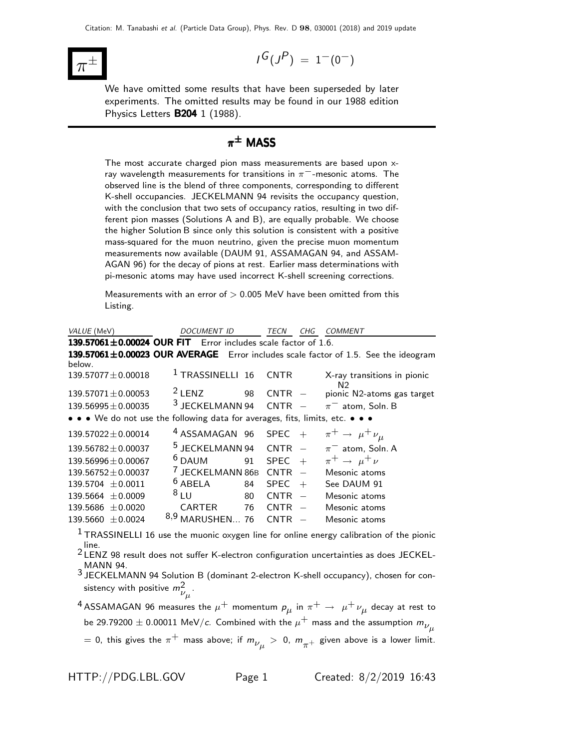

$$
I^G(J^P) \ = \ 1^-(0^-)
$$

We have omitted some results that have been superseded by later experiments. The omitted results may be found in our 1988 edition Physics Letters B204 1 (1988).

## $\pi^{\pm}$  MASS

The most accurate charged pion mass measurements are based upon xray wavelength measurements for transitions in  $\pi^-$ -mesonic atoms. The observed line is the blend of three components, corresponding to different K-shell occupancies. JECKELMANN 94 revisits the occupancy question, with the conclusion that two sets of occupancy ratios, resulting in two different pion masses (Solutions A and B), are equally probable. We choose the higher Solution B since only this solution is consistent with a positive mass-squared for the muon neutrino, given the precise muon momentum measurements now available (DAUM 91, ASSAMAGAN 94, and ASSAM-AGAN 96) for the decay of pions at rest. Earlier mass determinations with pi-mesonic atoms may have used incorrect K-shell screening corrections.

Measurements with an error of  $> 0.005$  MeV have been omitted from this Listing.

| VALUE (MeV)                                                                   | <i>DOCUMENT ID</i>          | TECN              | CHG                      | COMMENT                                                                            |
|-------------------------------------------------------------------------------|-----------------------------|-------------------|--------------------------|------------------------------------------------------------------------------------|
| 139.57061 $\pm$ 0.00024 OUR FIT Error includes scale factor of 1.6.           |                             |                   |                          |                                                                                    |
|                                                                               |                             |                   |                          | 139.57061±0.00023 OUR AVERAGE Error includes scale factor of 1.5. See the ideogram |
| below.                                                                        |                             |                   |                          |                                                                                    |
| $139.57077 \pm 0.00018$                                                       | <sup>1</sup> TRASSINELLI 16 | <b>CNTR</b>       |                          | X-ray transitions in pionic<br>N <sub>2</sub>                                      |
| $139.57071 \pm 0.00053$                                                       | $2$ LENZ                    | 98<br><b>CNTR</b> | $\overline{\phantom{a}}$ | pionic N2-atoms gas target                                                         |
| $139.56995 \pm 0.00035$                                                       | 3 JECKELMANN 94             | <b>CNTR</b>       |                          | $\pi^-$ atom, Soln. B                                                              |
| • • • We do not use the following data for averages, fits, limits, etc. • • • |                             |                   |                          |                                                                                    |
| $139.57022 \pm 0.00014$                                                       | <sup>4</sup> ASSAMAGAN 96   | <b>SPEC</b>       | $+$                      | $\pi^+ \rightarrow \mu^+ \nu_\mu$                                                  |
| $139.56782 \pm 0.00037$                                                       | <sup>5</sup> JECKELMANN 94  | <b>CNTR</b>       |                          | $\pi^-$ atom, Soln. A                                                              |
| $139.56996 \pm 0.00067$                                                       | $6$ DAUM                    | <b>SPEC</b><br>91 | $+$                      | $\pi^+ \rightarrow \mu^+ \nu$                                                      |
| $139.56752 \pm 0.00037$                                                       | <b>JECKELMANN 86B</b>       | <b>CNTR</b>       |                          | Mesonic atoms                                                                      |
| $139.5704 \pm 0.0011$                                                         | $6$ ABELA                   | <b>SPEC</b><br>84 | $+$                      | See DAUM 91                                                                        |
| $139.5664 \pm 0.0009$                                                         | 8LU                         | 80<br><b>CNTR</b> |                          | Mesonic atoms                                                                      |
| $139.5686 \pm 0.0020$                                                         | <b>CARTER</b>               | 76<br><b>CNTR</b> |                          | Mesonic atoms                                                                      |
| 139.5660<br>± 0.0024                                                          | 8,9<br>MARUSHEN.            | 76<br><b>CNTR</b> |                          | Mesonic atoms                                                                      |
|                                                                               |                             |                   |                          |                                                                                    |

<sup>1</sup> TRASSINELLI 16 use the muonic oxygen line for online energy calibration of the pionic line.<br><sup>2</sup> LENZ 98 result does not suffer K-electron configuration uncertainties as does JECKEL-

MANN 94.

3 JECKELMANN 94 Solution B (dominant 2-electron K-shell occupancy), chosen for consistency with positive  $m_{\nu_\mu}^2$ .

 $^4$ ASSAMAGAN 96 measures the  $\mu^+$  momentum  $\rho_{\mu}$  in  $\pi^+ \rightarrow \ \mu^+ \nu_{\mu}$  decay at rest to be 29.79200  $\pm$  0.00011 MeV/c. Combined with the  $\mu^+$  mass and the assumption  $m_{\nu_{1L}}$ 

 $=$  0, this gives the  $\pi^+$  mass above; if  $m_{\nu_{\mu}}^{}>$  0,  $m_{\pi^+}^{}$  given above is a lower limit.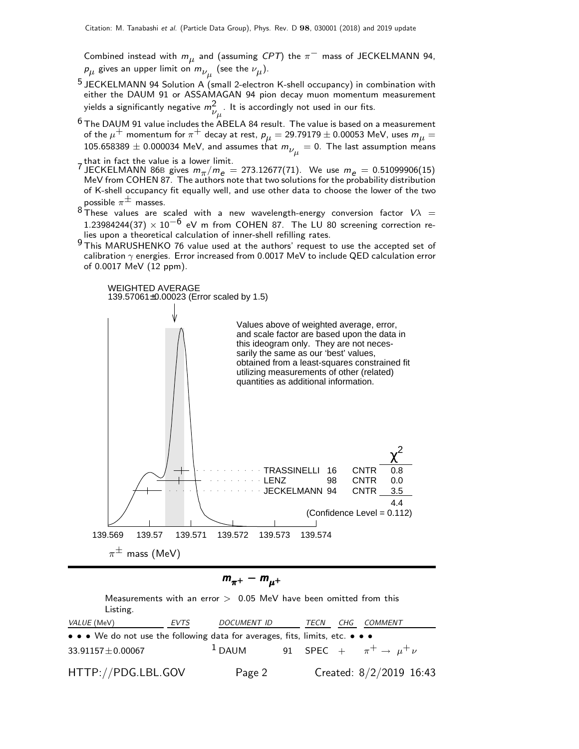Combined instead with  $m_\mu$  and (assuming  $CPT$ ) the  $\pi^-$  mass of JECKELMANN 94,  $\rho_{\mu}$  gives an upper limit on  $m_{\nu_{\mu}}$  (see the  $\nu_{\mu}$ ).

- 5 JECKELMANN 94 Solution A (small 2-electron K-shell occupancy) in combination with either the DAUM 91 or ASSAMAGAN 94 pion decay muon momentum measurement yields a significantly negative  $m_{\nu_\mu}^2$  . It is accordingly not used in our fits.
- $6$  The DAUM 91 value includes the ABELA 84 result. The value is based on a measurement of the  $\mu^+$  momentum for  $\pi^+$  decay at rest,  $\bm{\rho}_{\bm{\mu}} = 29.79179 \pm 0.00053$  MeV, uses  $\bm{m}_{\bm{\mu}} =$ 105.658389  $\pm$  0.000034 MeV, and assumes that  $m_{\nu_{\mu}}^{}=0.$  The last assumption means
- that in fact the value is a lower limit.<br>7 JECKELMANN 865 JECKELMANN 86B gives  $m_{\pi}/m_e = 273.12677(71)$ . We use  $m_e = 0.51099906(15)$ MeV from COHEN 87. The authors note that two solutions for the probability distribution of K-shell occupancy fit equally well, and use other data to choose the lower of the two possible  $\pi^{\pm}$  masses.<br>8 Th.
- These values are scaled with a new wavelength-energy conversion factor  $V\lambda$  = 1.23984244(37)  $\times$  10<sup>-6</sup> eV m from COHEN 87. The LU 80 screening correction relies upon a theoretical calculation of inner-shell refilling rates.
- 9 This MARUSHENKO 76 value used at the authors' request to use the accepted set of calibration  $\gamma$  energies. Error increased from 0.0017 MeV to include QED calculation error of 0.0017 MeV (12 ppm).



$$
m_{\pi^+} - m_{\mu^+}
$$

Measurements with an error  $>$  0.05 MeV have been omitted from this Listing. VALUE (MeV) **EVTS** DOCUMENT ID TECN CHG • • • We do not use the following data for averages, fits, limits, etc. 33.91157 $\pm$ 0.00067 <sup>1</sup> DAUM 91 SPEC +  $\pi^+ \to \mu^+ \nu$ HTTP://PDG.LBL.GOV Page 2 Created: 8/2/2019 16:43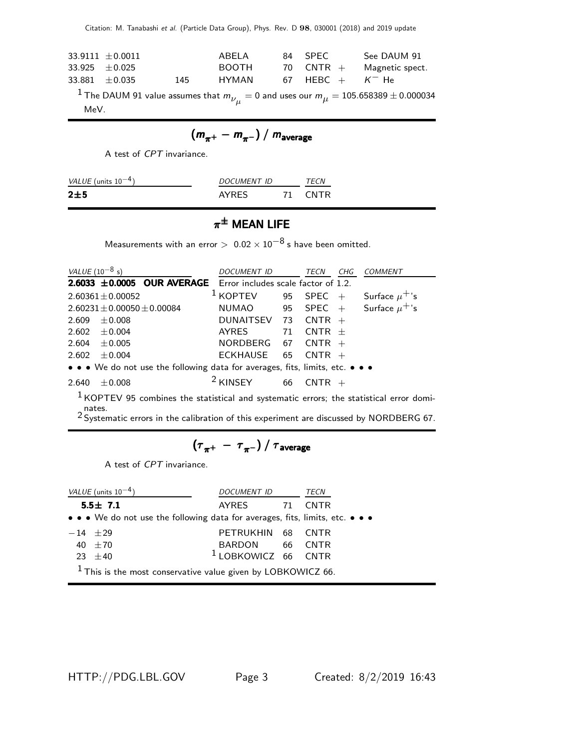Citation: M. Tanabashi et al. (Particle Data Group), Phys. Rev. D 98, 030001 (2018) and 2019 update

|                  | $33.9111 \pm 0.0011$ |     | ABFI A       | 84 SPFC                       | See DAUM 91     |
|------------------|----------------------|-----|--------------|-------------------------------|-----------------|
| $33.925 + 0.025$ |                      |     | <b>BOOTH</b> | 70 CNTR $+$                   | Magnetic spect. |
| $33.881 + 0.035$ |                      | 145 | HYMAN        | 67 HEBC $+$ K <sup>-</sup> He |                 |

 $^1$  The DAUM 91 value assumes that  $m_{\overline{\nu}_\mu} = 0$  and uses our  $m_\mu = 10$ 5.658389  $\pm$  0.000034 MeV.

$$
(m_{\pi^+}-m_{\pi^-})/m_{\text{average}}
$$

A test of CPT invariance.

| VALUE (units $10^{-4}$ ) | <i>DOCUMENT ID</i> | TFCN |
|--------------------------|--------------------|------|
| 2±5                      | <b>AYRES</b>       | CNTR |

## $\pi^{\pm}$  Mean Life

Measurements with an error  $> 0.02 \times 10^{-8}$  s have been omitted.

| <i>VALUE</i> (10 <sup>-8</sup> s) |                                   |                                                                                      | <i>DOCUMENT ID</i>                 |    | TECN        | CHG | <b>COMMENT</b>     |
|-----------------------------------|-----------------------------------|--------------------------------------------------------------------------------------|------------------------------------|----|-------------|-----|--------------------|
|                                   |                                   | <b>2.6033 <math>\pm</math>0.0005 OUR AVERAGE</b> Error includes scale factor of 1.2. |                                    |    |             |     |                    |
|                                   | $2.60361 \pm 0.00052$             |                                                                                      | $1$ KOPTEV                         |    | 95 SPEC $+$ |     | Surface $\mu^+$ 's |
|                                   | $2.60231 \pm 0.00050 \pm 0.00084$ |                                                                                      | NUMAO 95 SPEC + Surface $\mu^+$ 's |    |             |     |                    |
| 2.609                             | $+0.008$                          |                                                                                      | DUNAITSEV 73 CNTR $+$              |    |             |     |                    |
|                                   | 2.602 $\pm$ 0.004                 |                                                                                      | AYRES                              | 71 | $CNTR +$    |     |                    |
|                                   | 2.604 $\pm$ 0.005                 |                                                                                      | NORDBERG 67                        |    | $CNTR +$    |     |                    |
| 2.602                             | $\pm 0.004$                       |                                                                                      | ECKHAUSE                           | 65 | $CNTR +$    |     |                    |
|                                   |                                   | • • • We do not use the following data for averages, fits, limits, etc. • • •        |                                    |    |             |     |                    |
| 2.640                             | $+0.008$                          |                                                                                      | <sup>2</sup> KINSEY                | 66 |             |     |                    |

 $1$  KOPTEV 95 combines the statistical and systematic errors; the statistical error domi-

nates.<br><sup>2</sup> Systematic errors in the calibration of this experiment are discussed by NORDBERG 67.

$$
\left(\tau_{\pi^+}~-~\tau_{\pi^-}\right)/~\tau_{\rm average}
$$

A test of CPT invariance.

| VALUE (units $10^{-4}$ )                                                      | DOCUMENT ID                    | TECN |             |  |  |  |  |
|-------------------------------------------------------------------------------|--------------------------------|------|-------------|--|--|--|--|
| $5.5 \pm 7.1$                                                                 | AYRES 71                       |      | <b>CNTR</b> |  |  |  |  |
| • • • We do not use the following data for averages, fits, limits, etc. • • • |                                |      |             |  |  |  |  |
| $-14$ $+29$                                                                   | PETRUKHIN 68 CNTR              |      |             |  |  |  |  |
| 40 $\pm 70$                                                                   | BARDON 66 CNTR                 |      |             |  |  |  |  |
| $23 + 40$                                                                     | <sup>1</sup> LOBKOWICZ 66 CNTR |      |             |  |  |  |  |
| $1$ This is the most conservative value given by LOBKOWICZ 66.                |                                |      |             |  |  |  |  |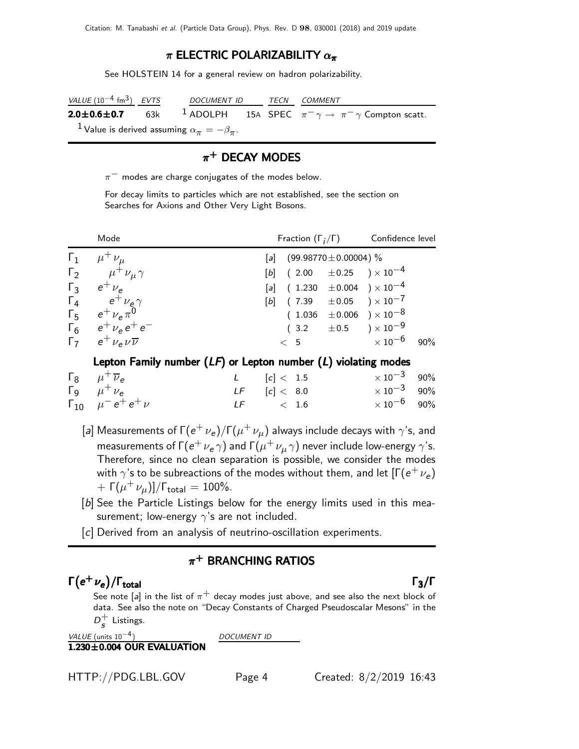#### $\pi$  ELECTRIC POLARIZABILITY  $\alpha_{\pi}$

See HOLSTEIN 14 for a general review on hadron polarizability.

| VALUE $(10^{-4}$ fm <sup>3</sup> ) EVTS | DOCUMENT ID TECN COMMENT                                |  |                                                                                                      |
|-----------------------------------------|---------------------------------------------------------|--|------------------------------------------------------------------------------------------------------|
|                                         |                                                         |  | <b>2.0±0.6±0.7</b> 63k <sup>1</sup> ADOLPH 15A SPEC $\pi^{-}\gamma \to \pi^{-}\gamma$ Compton scatt. |
|                                         | $^1$ Value is derived assuming $\alpha_\pi=-\beta_\pi.$ |  |                                                                                                      |

#### $\pi^+$  DECAY MODES

 $\pi^-$  modes are charge conjugates of the modes below.

For decay limits to particles which are not established, see the section on Searches for Axions and Other Very Light Bosons.

|                | Mode                                      | Fraction $(\Gamma_i/\Gamma)$   | Confidence level |                                        |     |
|----------------|-------------------------------------------|--------------------------------|------------------|----------------------------------------|-----|
| $\mathsf{r}_1$ | $\mu^+ \nu_\mu$                           | [a] $(99.98770 \pm 0.00004)$ % |                  |                                        |     |
|                | $\Gamma_2$ $\mu^+ \nu_\mu \gamma$         |                                |                  | [b] $(2.00 \pm 0.25) \times 10^{-4}$   |     |
|                | $\Gamma_3$ $e^+ \nu_e$                    |                                |                  | [a] $(1.230 \pm 0.004) \times 10^{-4}$ |     |
|                | $\Gamma_4$ $e^+ \nu_e \gamma$             |                                |                  | [b] $(7.39 \pm 0.05) \times 10^{-7}$   |     |
|                | $\Gamma_5$ $e^+ \nu_e \pi^0$              |                                |                  | $(1.036 \pm 0.006) \times 10^{-8}$     |     |
|                | $\Gamma_6$ $e^+$ $\nu_e$ $e^+$ $e^-$      |                                |                  | $(3.2 \pm 0.5) \times 10^{-9}$         |     |
|                | $\Gamma_7$ $e^+ \nu_e \nu \overline{\nu}$ | < 5                            |                  | $\times$ 10 $^{-6}$                    | 90% |

#### Lepton Family number  $(LF)$  or Lepton number  $(L)$  violating modes

| $\Gamma_8$ $\mu^+$ $\overline{\nu}_e$ | L $[c] < 1.5$    | $\times\,10^{-3}$ 90%   |
|---------------------------------------|------------------|-------------------------|
| $\Gamma_9$ $\mu^+ \nu_e$              | $LF$ $[c] < 8.0$ | $\times\,10^{-3}$ 90%   |
| $\Gamma_{10}$ $\mu^- e^+ e^+ \nu$     | $LF \t\t < 1.6$  | $\times$ 10 $^{-6}$ 90% |

- [a] Measurements of Γ $({e^+}$   ${\nu _e})/\Gamma ({\mu ^ + }{\nu _\mu })$  always include decays with  $\gamma ^{\prime}$ s, and measurements of Г $(\mathrm{e}^+\,\nu_\mathrm{e}\,\gamma)$  and Г $(\mu^+\,\nu_\mu\,\gamma)$  never include low-energy  $\gamma$ 's. Therefore, since no clean separation is possible, we consider the modes with  $\gamma$ 's to be subreactions of the modes without them, and let  $[\Gamma(e^+ \, \nu_e)$  $+ \, \, \mathsf{\Gamma}(\mu^+ \, \nu_{\mu})]/\mathsf{\Gamma}_{\sf total} = 100\%.$
- [b] See the Particle Listings below for the energy limits used in this measurement; low-energy  $\gamma$ 's are not included.
- [c] Derived from an analysis of neutrino-oscillation experiments.

#### $\pi^+$  BRANCHING RATIOS

## $\Gamma(e^+ \nu_e)/\Gamma_{\rm total}$  Γ<sub>3</sub>/Γ

See note [a] in the list of  $\pi^+$  decay modes just above, and see also the next block of data. See also the note on "Decay Constants of Charged Pseudoscalar Mesons" in the  $D_{c}^{+}$  $\frac{1}{s}$  Listings.

```
VALUE (units 10^{-4}) DOCUMENT ID
```
#### $1.230\pm0.004$  OUR EVALUATION



#### total and the set of the set of the set of the set of the set of the set of the set of the set of the set of t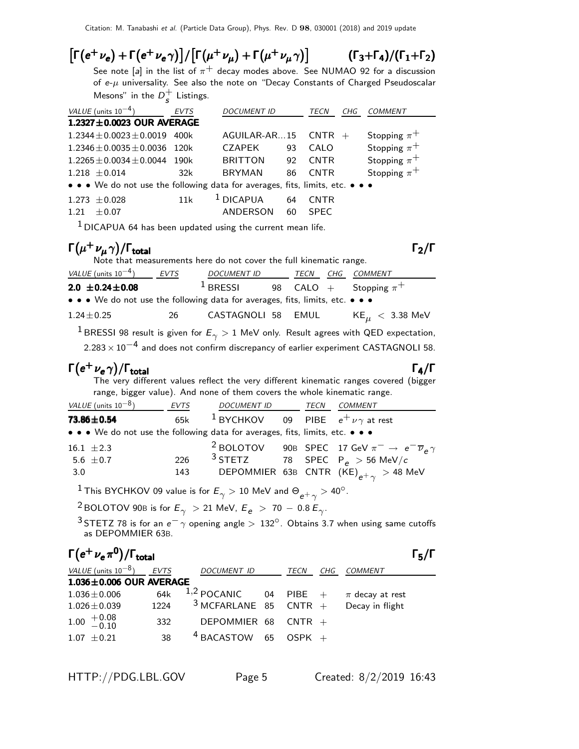#### $\left[\Gamma(e^+ \nu_e) + \Gamma(e^+ \nu_e \gamma)\right] / \left[\Gamma(\mu^+ \nu_\mu) + \Gamma(\mu^+ \nu_\mu \gamma)\right]$ )]  $(\Gamma_3+\Gamma_4)/(\Gamma_1+\Gamma_2)$

See note [a] in the list of  $\pi^{+}$  decay modes above. See NUMAO 92 for a discussion of  $e$ - $\mu$  universality. See also the note on "Decay Constants of Charged Pseudoscalar Mesons" in the  $D^+$  $\frac{1}{s}$  Listings.

| VALUE (units $10^{-4}$ )                                                      | <b>EVTS</b> | <b>DOCUMENT ID</b>      |          | TECN                       | CHG | COMMENT          |
|-------------------------------------------------------------------------------|-------------|-------------------------|----------|----------------------------|-----|------------------|
| 1.2327±0.0023 OUR AVERAGE                                                     |             |                         |          |                            |     |                  |
| $1.2344 \pm 0.0023 \pm 0.0019$                                                | 400k        | AGUILAR-AR15            |          | $CNTR +$                   |     | Stopping $\pi^+$ |
| $1.2346 \pm 0.0035 \pm 0.0036$                                                | 120k        | <b>CZAPEK</b>           | 93       | CALO                       |     | Stopping $\pi^+$ |
| $1.2265 \pm 0.0034 \pm 0.0044$                                                | 190k        | <b>BRITTON</b>          | 92       | <b>CNTR</b>                |     | Stopping $\pi^+$ |
| $1.218 \pm 0.014$                                                             | 32k         | <b>BRYMAN</b>           | 86       | <b>CNTR</b>                |     | Stopping $\pi^+$ |
| • • • We do not use the following data for averages, fits, limits, etc. • • • |             |                         |          |                            |     |                  |
| $1.273 \pm 0.028$<br>$+0.07$<br>1 21                                          | 11k         | $1$ DICAPUA<br>ANDERSON | 64<br>60 | <b>CNTR</b><br><b>SPEC</b> |     |                  |
|                                                                               |             |                         |          |                            |     |                  |

 $1$  DICAPUA 64 has been updated using the current mean life.

#### $\Gamma(\mu^+ \nu_{\mu} \gamma)$ Γ $(\mu^+ \nu_\mu \gamma)$ /Γ<sub>total</sub> Γ

| Note that measurements here do not cover the full kinematic range.            |      |                    |  |      |  |                                                                                                           |  |  |  |
|-------------------------------------------------------------------------------|------|--------------------|--|------|--|-----------------------------------------------------------------------------------------------------------|--|--|--|
| VALUE (units $10^{-4}$ )                                                      | EVTS | DOCUMENT ID        |  | TECN |  | CHG COMMENT                                                                                               |  |  |  |
| $2.0 \pm 0.24 \pm 0.08$                                                       |      | $1$ BRESSI         |  |      |  | 98 CALO $+$ Stopping $\pi^+$                                                                              |  |  |  |
| • • • We do not use the following data for averages, fits, limits, etc. • • • |      |                    |  |      |  |                                                                                                           |  |  |  |
| $1.24 \pm 0.25$                                                               | - 26 | CASTAGNOLI 58 EMUL |  |      |  | $KE_{\mu}$ $<$ 3.38 MeV                                                                                   |  |  |  |
|                                                                               |      |                    |  |      |  | <sup>1</sup> BRESSI 98 result is given for $E_{\gamma} > 1$ MeV only. Result agrees with QED expectation, |  |  |  |

 $2.283 \times 10^{-4}$  and does not confirm discrepancy of earlier experiment CASTAGNOLI 58.

## $\Gamma(e^+ \nu_e \gamma)/\Gamma_{\rm total}$

The very different values reflect the very different kinematic ranges covered (bigger range, bigger value). And none of them covers the whole kinematic range.

| <i>VALUE</i> (units $10^{-8}$ )                                               | EVTS | <i>DOCUMENT ID</i>                                    | TECN | COMMENT                                                                              |
|-------------------------------------------------------------------------------|------|-------------------------------------------------------|------|--------------------------------------------------------------------------------------|
| 73.86±0.54                                                                    | 65k  | <sup>1</sup> BYCHKOV 09 PIBE $e^+ \nu \gamma$ at rest |      |                                                                                      |
| • • • We do not use the following data for averages, fits, limits, etc. • • • |      |                                                       |      |                                                                                      |
| 16.1 $\pm 2.3$                                                                |      |                                                       |      | <sup>2</sup> BOLOTOV 90B SPEC 17 GeV $\pi^- \rightarrow e^- \overline{\nu}_e \gamma$ |
| 5.6 $\pm$ 0.7                                                                 | 226  |                                                       |      | <sup>3</sup> STETZ 78 SPEC P <sub>e</sub> > 56 MeV/c                                 |
| 3.0                                                                           | 143  |                                                       |      | DEPOMMIER 63B CNTR $(KE)_{e^+\gamma} > 48$ MeV                                       |

 $^1$ This BYCHKOV 09 value is for  $E_\gamma >$  10 MeV and  $\Theta_{e^+ \, \gamma} >$  40 $^{\rm o}$ .

 $^2$ BOLOTOV 90B is for  $E_\gamma$   $>$  21 MeV,  $E_e$   $>$  70  $-$  0.8  $E_\gamma$ .

 $3$  STETZ 78 is for an  $e^-\gamma$  opening angle  $>132^\circ$ . Obtains 3.7 when using same cutoffs as DEPOMMIER 63B.

## $\Gamma(e^+ \nu_e \pi^0)/\Gamma_{\rm total}$  Γ<sub>5</sub>/Γ

total and  $\overline{5}/1$ 

| VALUE (units $10^{-8}$ ) EVTS                      |      | <b>DOCUMENT ID</b>                          | TECN | CHG | COMMENT |
|----------------------------------------------------|------|---------------------------------------------|------|-----|---------|
| $1.036 \pm 0.006$ OUR AVERAGE                      |      |                                             |      |     |         |
| $1.036 \pm 0.006$                                  | 64k  | 1,2 POCANIC 04 PIBE $+$ $\pi$ decay at rest |      |     |         |
| $1.026 \pm 0.039$                                  | 1224 | $3$ MCFARLANE 85 CNTR + Decay in flight     |      |     |         |
| $1.00 \begin{array}{c} +0.08 \\ -0.10 \end{array}$ | 332  | DEPOMMIER 68 CNTR $+$                       |      |     |         |
| $1.07 + 0.21$                                      | 38   | $4$ BACASTOW 65 OSPK +                      |      |     |         |

HTTP://PDG.LBL.GOV Page 5 Created: 8/2/2019 16:43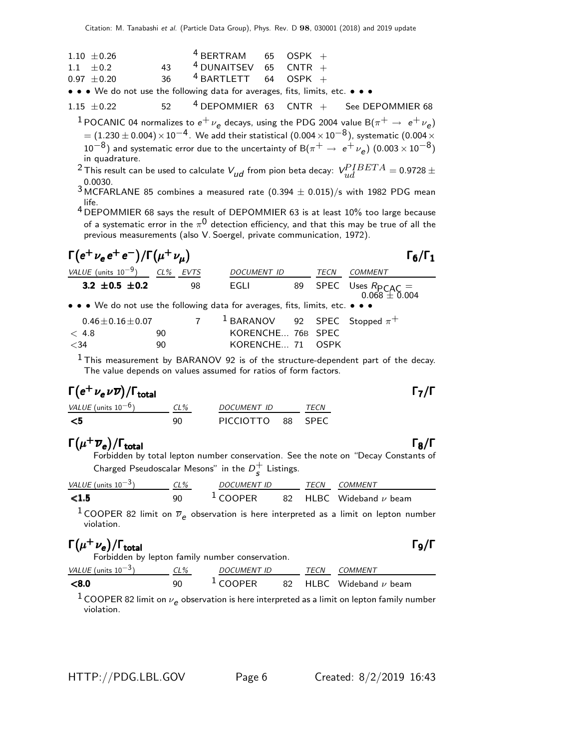| $1.10 \pm 0.26$ |    | $4$ BERTRAM 65 OSPK +                                                         |  |  |
|-----------------|----|-------------------------------------------------------------------------------|--|--|
| $1.1 \pm 0.2$   | 43 | $4$ DUNAITSEV 65 CNTR +                                                       |  |  |
| $0.97 + 0.20$   | 36 | $4$ BARTLETT 64 OSPK +                                                        |  |  |
|                 |    | • • • We do not use the following data for averages, fits, limits, etc. • • • |  |  |

1.15  $\pm$  0.22 52 <sup>4</sup> DEPOMMIER 63 CNTR + See DEPOMMIER 68 <sup>1</sup> POCANIC 04 normalizes to  $e^+ \nu_e$  decays, using the PDG 2004 value B( $\pi^+ \rightarrow e^+ \nu_e$ )  $= (1.230 \pm 0.004) \times 10^{-4}$ . We add their statistical  $(0.004 \times 10^{-8})$ , systematic  $(0.004 \times$  $10^{-8}$ ) and systematic error due to the uncertainty of B $(\pi^+ \to e^+ \nu_e)$   $(0.003 \times 10^{-8})$ in quadrature.

<sup>2</sup> This result can be used to calculate  $V_{ud}$  from pion beta decay:  $\textit{V}^{PIBETA}_{ud} = 0.9728 \pm 0.0000$ 0.0030.

 $3$  MCFARLANE 85 combines a measured rate (0.394  $\pm$  0.015)/s with 1982 PDG mean life.

4 DEPOMMIER 68 says the result of DEPOMMIER 63 is at least 10% too large because of a systematic error in the  $\pi^{\mathsf{0}}$  detection efficiency, and that this may be true of all the previous measurements (also V. Soergel, private communication, 1972).

| $\Gamma(e^+\nu_e e^+e^-)/\Gamma(\mu^+\nu_\mu)$                                |    |                                              |      | $\Gamma_6/\Gamma_1$                              |
|-------------------------------------------------------------------------------|----|----------------------------------------------|------|--------------------------------------------------|
| VALUE (units $10^{-9}$ ) CL% EVTS                                             |    | DOCUMENT ID                                  | TECN | <i>COMMENT</i>                                   |
| 3.2 $\pm$ 0.5 $\pm$ 0.2                                                       | 98 | EGLI                                         |      | 89 SPEC Uses $R_{\text{PCAC}} = 0.068 \pm 0.004$ |
| • • • We do not use the following data for averages, fits, limits, etc. • • • |    |                                              |      |                                                  |
| $0.46 \pm 0.16 \pm 0.07$                                                      |    | <sup>1</sup> BARANOV 92 SPEC Stopped $\pi^+$ |      |                                                  |

<34 90 KORENCHE... 71 OSPK  $<sup>1</sup>$  This measurement by BARANOV 92 is of the structure-dependent part of the decay.</sup>

The value depends on values assumed for ratios of form factors.

## $\Gamma(e^+ \nu_e \nu \overline{\nu}) / \Gamma_{\rm total}$

| VALUE (units $10^{-6}$ ) | CL% | <i>DOCUMENT ID</i> | <i>TFCN</i> |
|--------------------------|-----|--------------------|-------------|
| - <5                     | qn  | PICCIOTTO 88 SPEC  |             |

< 4.8 90 KORENCHE... 76B SPEC

#### $\Gamma(\mu^+\overline{\nu}_e)/\Gamma_{\rm total}$  Γ<sub>8</sub>/Γ  $\Gamma_{\rm total}$  Γ<sub>ε</sub>

Forbidden by total lepton number conservation. See the note on "Decay Constants of Charged Pseudoscalar Mesons" in the  $D^+_s$  $\frac{+}{s}$  Listings.

| VALUE (units $10^{-3}$ ) | CL% | <b>DOCUMENT ID</b> | TFCN | COMMENT                               |
|--------------------------|-----|--------------------|------|---------------------------------------|
| < 1.5                    | 90  | $1$ COOPER         |      | 82 $\,$ HLBC $\,$ Wideband $\nu$ beam |

<sup>1</sup> COOPER 82 limit on  $\overline{\nu}_e$  observation is here interpreted as a limit on lepton number violation.

#### $\Gamma(\mu^+ \nu_e)/\Gamma_{\rm total}$  Γg/Γ total and the set of the set of the set of the set of the set of the set of the set of the set of the set of t

Forbidden by lepton family number conservation.

| VALUE (units $10^{-3}$ ) | $CL\%$ | <i>DOCUMENT ID</i> | TFCN | COMMENT                               |
|--------------------------|--------|--------------------|------|---------------------------------------|
| < 8.0                    | ۹N     | $1$ COOPER         |      | 82 $\,$ HLBC $\,$ Wideband $\nu$ beam |

 $^1$  COOPER 82 limit on  $\nu_e$  observation is here interpreted as a limit on lepton family number violation.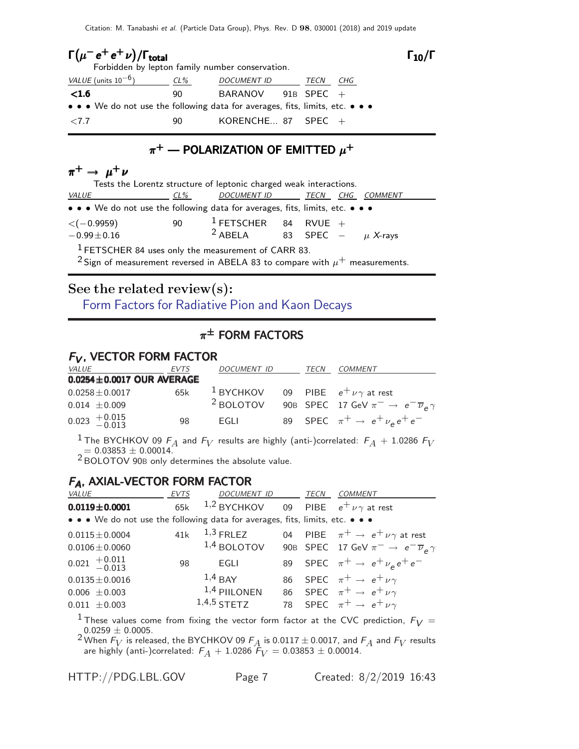Citation: M. Tanabashi et al. (Particle Data Group), Phys. Rev. D 98, 030001 (2018) and 2019 update

| $\Gamma(\mu^- e^+ e^+ \nu)/\Gamma_{\rm total}$<br>Forbidden by lepton family number conservation. |     |                                                                               |      |     |  |  |  |
|---------------------------------------------------------------------------------------------------|-----|-------------------------------------------------------------------------------|------|-----|--|--|--|
| VALUE (units $10^{-6}$ )                                                                          | CL% | <i>DOCUMENT ID</i>                                                            | TECN | CHG |  |  |  |
| < 1.6                                                                                             | 90. | BARANOV 91B SPEC $+$                                                          |      |     |  |  |  |
|                                                                                                   |     | • • • We do not use the following data for averages, fits, limits, etc. • • • |      |     |  |  |  |
| ${<}7.7$                                                                                          | 90  | KORENCHE 87 SPEC $+$                                                          |      |     |  |  |  |

#### $\pi^+$  — POLARIZATION OF EMITTED  $\mu^+$

### $\pi^+ \rightarrow \mu^+ \nu$

| Tests the Lorentz structure of leptonic charged weak interactions.            |    |                                           |  |  |  |                |  |  |
|-------------------------------------------------------------------------------|----|-------------------------------------------|--|--|--|----------------|--|--|
| <i>VALUE</i><br>$CL\%$                                                        |    | <u>DOCUMENT ID _______ TECN __ CHG _</u>  |  |  |  | <i>COMMENT</i> |  |  |
| • • • We do not use the following data for averages, fits, limits, etc. • • • |    |                                           |  |  |  |                |  |  |
| $\langle$ ( $-0.9959$ )                                                       | 90 | <sup>1</sup> FETSCHER 84 RVUE +           |  |  |  |                |  |  |
| $-0.99 \pm 0.16$                                                              |    | <sup>2</sup> ABELA 83 SPEC – $\mu$ X-rays |  |  |  |                |  |  |
| <sup>1</sup> FETSCHER 84 uses only the measurement of CARR 83.                |    |                                           |  |  |  |                |  |  |

<sup>2</sup> Sign of measurement reversed in ABELA 83 to compare with  $\mu^+$  measurements.

# See the related review(s):

[Form Factors for Radiative Pion and Kaon Decays](http://pdg.lbl.gov/2019/reviews/rpp2018-rev-form-factors-radiative-pik-decays.pdf)

## $\pi^{\pm}$  form factors

#### $F_V$ , VECTOR FORM FACTOR

| <i>VALUE</i>               | EVTS                            | DOCUMENT ID                                           | TECN | COMMENT                                                         |
|----------------------------|---------------------------------|-------------------------------------------------------|------|-----------------------------------------------------------------|
|                            | $0.0254 \pm 0.0017$ OUR AVERAGE |                                                       |      |                                                                 |
| $0.0258 \pm 0.0017$        | 65k                             | <sup>1</sup> BYCHKOV 09 PIBE $e^+ \nu \gamma$ at rest |      |                                                                 |
| $0.014 \pm 0.009$          |                                 | <sup>2</sup> BOLOTOV                                  |      | 90B SPEC 17 GeV $\pi^- \rightarrow e^- \overline{\nu}_e \gamma$ |
| $0.023$ $+0.015$<br>-0.013 | 98                              | EGLI                                                  |      | 89 SPEC $\pi^+ \rightarrow e^+ \nu_e e^+ e^-$                   |

<sup>1</sup> The BYCHKOV 09  $F_A$  and  $F_V$  results are highly (anti-)correlated:  $F_A$  + 1.0286  $F_V$  $= 0.03853 \pm 0.00014$ .

2 BOLOTOV 90<sup>B</sup> only determines the absolute value.

#### FA, AXIAL-VECTOR FORM FACTOR

| <i>VALUE</i>                                                                  | <b>EVTS</b> | DOCUMENT ID                                  | TECN | <b>COMMENT</b>                                                  |
|-------------------------------------------------------------------------------|-------------|----------------------------------------------|------|-----------------------------------------------------------------|
| $0.0119 \pm 0.0001$                                                           | 65k         | 1,2 BYCHKOV 09 PIBE $e^+ \nu \gamma$ at rest |      |                                                                 |
| • • • We do not use the following data for averages, fits, limits, etc. • • • |             |                                              |      |                                                                 |
| $0.0115 \pm 0.0004$                                                           |             | 41 $k$ $1,3$ FRLEZ                           |      | 04 PIBE $\pi^+ \rightarrow e^+ \nu \gamma$ at rest              |
| $0.0106 \pm 0.0060$                                                           |             | $1,4$ BOLOTOV                                |      | 90B SPEC 17 GeV $\pi^- \rightarrow e^- \overline{\nu}_e \gamma$ |
| $0.021 \begin{array}{c} +0.011 \\ -0.013 \end{array}$                         | 98          | EGLI                                         |      | 89 SPEC $\pi^+ \to e^+ \nu_e e^+ e^-$                           |
| $0.0135 \pm 0.0016$                                                           |             | $1,4$ BAY                                    |      | 86 SPEC $\pi^+ \rightarrow e^+ \nu \gamma$                      |
| $0.006 \pm 0.003$                                                             |             | $1,4$ PIILONEN                               |      | 86 SPEC $\pi^+ \rightarrow e^+ \nu \gamma$                      |
| $0.011 \pm 0.003$                                                             |             | $1,4,5$ STETZ                                |      | 78 SPEC $\pi^+ \rightarrow e^+ \nu \gamma$                      |
|                                                                               |             |                                              |      |                                                                 |

<sup>1</sup> These values come from fixing the vector form factor at the CVC prediction,  $F_V =$  $0.0259 \pm 0.0005$ .

<sup>2</sup> When  $F_V$  is released, the BYCHKOV 09  $F_A$  is 0.0117  $\pm$  0.0017, and  $F_A$  and  $F_V$  results are highly (anti-)correlated:  $F_A + 1.0286$   $\hat{F}_V = 0.03853 \pm 0.00014.$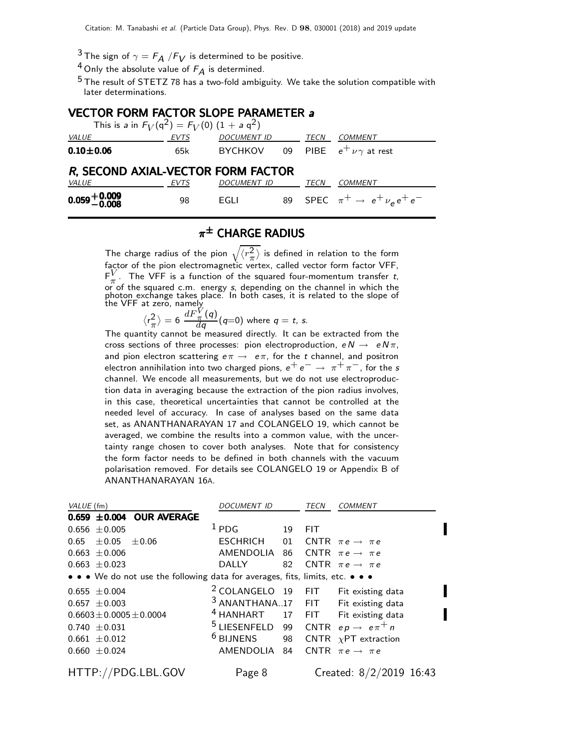<sup>3</sup> The sign of  $\gamma = F_A / F_V$  is determined to be positive.

 $^4$  Only the absolute value of  $F_A$  is determined.

 $5$  The result of STETZ 78 has a two-fold ambiguity. We take the solution compatible with later determinations.

#### VECTOR FORM FACTOR SLOPE PARAMETER a

| This is a in $F_V(q^2) = F_V(0) (1 + a q^2)$ |             |                                          |      |                                       |
|----------------------------------------------|-------------|------------------------------------------|------|---------------------------------------|
| VALUE                                        | <b>EVTS</b> | <b>DOCUMENT ID</b>                       | TECN | COMMENT                               |
| $0.10 + 0.06$                                | 65k         | BYCHKOV 09 PIBE $e^+ \nu \gamma$ at rest |      |                                       |
| R, SECOND AXIAL-VECTOR FORM FACTOR           |             |                                          |      |                                       |
| <b>VALUE</b>                                 | EVTS        | DOCUMENT ID                              | TECN | <i>COMMENT</i>                        |
| $0.059 + 0.009$<br>0.008                     | 98          | EGLI                                     |      | 89 SPEC $\pi^+ \to e^+ \nu_e e^+ e^-$ |

## $\pi^\pm$  CHARGE RADIUS

The charge radius of the pion  $\sqrt{\langle r^2_{\pi} \rangle}$  $\left(\frac{2}{\pi}\right)$  is defined in relation to the form factor of the pion electromagnetic vertex, called vector form factor VFF,  $F_{\pi}^V$  $\frac{V}{\pi}$ . The VFF is a function of the squared four-momentum transfer t, or of the squared c.m. energy s, depending on the channel in which the photon exchange takes place. In both cases, it is related to the slope of the VFF at zero, namely

$$
\langle r_{\pi}^2 \rangle = 6 \; \frac{dF_{\pi}^V(q)}{dq}(q=0) \; \text{where} \; q = t, \, s.
$$

The quantity cannot be measured directly. It can be extracted from the cross sections of three processes: pion electroproduction,  $e N \rightarrow e N \pi$ , and pion electron scattering  $e\pi \rightarrow e\pi$ , for the t channel, and positron electron annihilation into two charged pions,  $e^+e^- \rightarrow \pi^+\pi^-$ , for the s channel. We encode all measurements, but we do not use electroproduction data in averaging because the extraction of the pion radius involves, in this case, theoretical uncertainties that cannot be controlled at the needed level of accuracy. In case of analyses based on the same data set, as ANANTHANARAYAN 17 and COLANGELO 19, which cannot be averaged, we combine the results into a common value, with the uncertainty range chosen to cover both analyses. Note that for consistency the form factor needs to be defined in both channels with the vacuum polarisation removed. For details see COLANGELO 19 or Appendix B of ANANTHANARAYAN 16A.

| VALUE (fm)                                                                    | <i>DOCUMENT ID</i>   |    | TECN       | <b>COMMENT</b>                                  |
|-------------------------------------------------------------------------------|----------------------|----|------------|-------------------------------------------------|
| $0.659 \pm 0.004$ OUR AVERAGE                                                 |                      |    |            |                                                 |
| $0.656 \pm 0.005$                                                             | $1_{PDG}$            | 19 | <b>FIT</b> |                                                 |
| $\pm 0.05$<br>0.65<br>$\pm 0.06$                                              | ESCHRICH             | 01 |            | CNTR $\pi e \rightarrow \pi e$                  |
| $0.663 \pm 0.006$                                                             | AMENDOLIA            | 86 |            | CNTR $\pi e \rightarrow \pi e$                  |
| $0.663 \pm 0.023$                                                             | <b>DALLY</b>         | 82 |            | CNTR $\pi e \rightarrow \pi e$                  |
| • • • We do not use the following data for averages, fits, limits, etc. • • • |                      |    |            |                                                 |
| $0.655 \pm 0.004$                                                             |                      |    |            | <sup>2</sup> COLANGELO 19 FIT Fit existing data |
| $0.657 \pm 0.003$                                                             |                      |    |            | <sup>3</sup> ANANTHANA17 FIT Fit existing data  |
| $0.6603 \pm 0.0005 \pm 0.0004$                                                | <sup>4</sup> HANHART |    |            | 17 FIT Fit existing data                        |
| $0.740 \pm 0.031$                                                             | $5$ LIESENFELD 99    |    |            | CNTR $ep\rightarrow\ e\pi^+\pi$                 |
| $0.661 \pm 0.012$                                                             | <sup>6</sup> BIJNENS |    |            | 98 CNTR $\chi$ PT extraction                    |
| $0.660 \pm 0.024$                                                             | AMENDOLIA            | 84 |            | CNTR $\pi e \rightarrow \pi e$                  |
| HTTP://PDG.LBL.GOV                                                            | Page 8               |    |            | Created: $8/2/2019$ 16:43                       |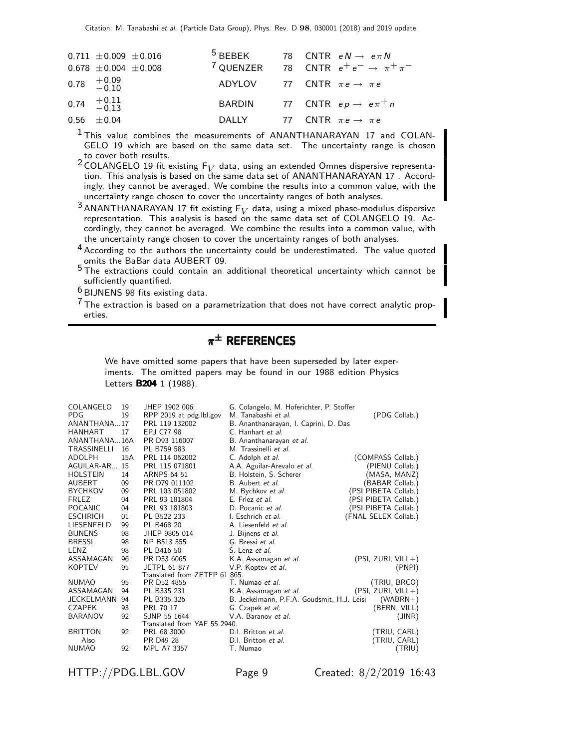| $0.711 \pm 0.009 \pm 0.016$ |  | <sup>5</sup> BEBEK 78 CNTR $eN \rightarrow e\pi N$           |
|-----------------------------|--|--------------------------------------------------------------|
| $0.678 \pm 0.004 \pm 0.008$ |  | <sup>7</sup> QUENZER 78 CNTR $e^+e^- \rightarrow \pi^+\pi^-$ |
| $0.78$ $^{+0.09}_{-0.10}$   |  | ADYLOV 77 CNTR $\pi e \rightarrow \pi e$                     |
| $0.74 \quad +0.11 \ -0.13$  |  | BARDIN 77 CNTR $ep \rightarrow e \pi^+ n$                    |
| $0.56 \pm 0.04$             |  | DALLY 77 CNTR $\pi e \rightarrow \pi e$                      |

<sup>1</sup> This value combines the measurements of ANANTHANARAYAN 17 and COLAN-GELO 19 which are based on the same data set. The uncertainty range is chosen to cover both results.

<sup>2</sup> COLANGELO 19 fit existing  $F_V$  data, using an extended Omnes dispersive representation. This analysis is based on the same data set of ANANTHANARAYAN 17 . Accordingly, they cannot be averaged. We combine the results into a common value, with the uncertainty range chosen to cover the uncertainty ranges of both analyses.

<sup>3</sup> ANANTHANARAYAN 17 fit existing  $F_V$  data, using a mixed phase-modulus dispersive representation. This analysis is based on the same data set of COLANGELO 19. Accordingly, they cannot be averaged. We combine the results into a common value, with the uncertainty range chosen to cover the uncertainty ranges of both analyses.

4 According to the authors the uncertainty could be underestimated. The value quoted omits the BaBar data AUBERT 09.

5 The extractions could contain an additional theoretical uncertainty which cannot be sufficiently quantified.

6 BIJNENS 98 fits existing data.

 $7$  The extraction is based on a parametrization that does not have correct analytic properties.

## $\pi^\pm$  references

We have omitted some papers that have been superseded by later experiments. The omitted papers may be found in our 1988 edition Physics Letters **B204** 1 (1988).

| COLANGELO          | 19  | JHEP 1902 006                 | G. Colangelo, M. Hoferichter, P. Stoffer   |                      |  |  |
|--------------------|-----|-------------------------------|--------------------------------------------|----------------------|--|--|
| <b>PDG</b>         | 19  | RPP 2019 at pdg.lbl.gov       | M. Tanabashi et al.                        | (PDG Collab.)        |  |  |
| ANANTHANA17        |     | PRL 119 132002                | B. Ananthanarayan, I. Caprini, D. Das      |                      |  |  |
| <b>HANHART</b>     | 17  | EPJ C77 98                    | C. Hanhart et al.                          |                      |  |  |
| ANANTHANA16A       |     | PR D93 116007                 | B. Ananthanarayan et al.                   |                      |  |  |
| <b>TRASSINELLI</b> | 16  | PL B759 583                   | M. Trassinelli et al.                      |                      |  |  |
| <b>ADOLPH</b>      | 15A | PRL 114 062002                | C. Adolph et al.                           | (COMPASS Collab.)    |  |  |
| AGUILAR-AR         | 15  | PRL 115 071801                | A.A. Aguilar-Arevalo et al.                | (PIENU Collab.)      |  |  |
| <b>HOLSTEIN</b>    | 14  | <b>ARNPS 64 51</b>            | B. Holstein, S. Scherer                    | (MASA, MANZ)         |  |  |
| AUBERT             | 09  | PR D79 011102                 | B. Aubert et al.                           | (BABAR Collab.)      |  |  |
| <b>BYCHKOV</b>     | 09  | PRL 103 051802                | M. Bychkov et al.                          | (PSI PIBETA Collab.) |  |  |
| <b>FRLEZ</b>       | 04  | PRL 93 181804                 | E. Frlez <i>et al.</i>                     | (PSI PIBETA Collab.) |  |  |
| <b>POCANIC</b>     | 04  | PRL 93 181803                 | D. Pocanic et al.                          | (PSI PIBETA Collab.) |  |  |
| <b>ESCHRICH</b>    | 01  | PL B522 233                   | I. Eschrich et al.                         | (FNAL SELEX Collab.) |  |  |
| <b>LIESENFELD</b>  | 99  | PL B468 20                    | A. Liesenfeld et al.                       |                      |  |  |
| <b>BIJNENS</b>     | 98  | JHEP 9805 014                 | J. Bijnens et al.                          |                      |  |  |
| <b>BRESSI</b>      | 98  | NP B513 555                   | G. Bressi et al.                           |                      |  |  |
| LENZ               | 98  | PL B416 50                    | S. Lenz et al.                             |                      |  |  |
| ASSAMAGAN          | 96  | PR D53 6065                   | K.A. Assamagan et al.                      | $(PSI, ZURI, VILL+)$ |  |  |
| <b>KOPTEV</b>      | 95  | JETPL 61 877                  | V.P. Koptev et al.                         | (PNPI)               |  |  |
|                    |     | Translated from ZETFP 61 865. |                                            |                      |  |  |
| <b>NUMAO</b>       | 95  | PR D52 4855                   | T. Numao et al.                            | (TRIU, BRCO)         |  |  |
| ASSAMAGAN          | 94  | PL B335 231                   | K.A. Assamagan et al.                      | $(PSI, ZURI, VILL+)$ |  |  |
| <b>JECKELMANN</b>  | 94  | PL B335 326                   | B. Jeckelmann, P.F.A. Goudsmit, H.J. Leisi | $(WABRN+ )$          |  |  |
| <b>CZAPEK</b>      | 93  | PRL 70 17                     | G. Czapek et al.                           | (BERN, VILL)         |  |  |
| <b>BARANOV</b>     | 92  | SJNP 55 1644                  | V.A. Baranov et al.                        | (JINR)               |  |  |
|                    |     | Translated from YAF 55 2940.  |                                            |                      |  |  |
| <b>BRITTON</b>     | 92  | PRL 68 3000                   | D.I. Britton et al.                        | (TRIU, CARL)         |  |  |
| Also               |     | PR D49 28                     | D.I. Britton et al.                        | (TRIU, CARL)         |  |  |
| <b>NUMAO</b>       | 92  | MPL A7 3357                   | T. Numao                                   | (TRIU)               |  |  |

HTTP://PDG.LBL.GOV Page 9 Created: 8/2/2019 16:43